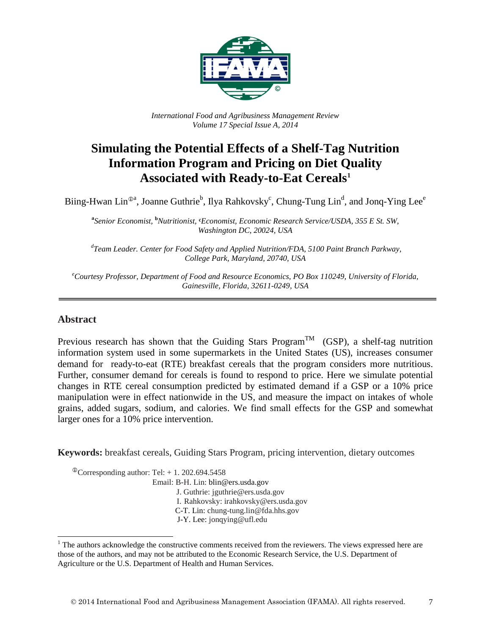

*International Food and Agribusiness Management Review Volume 17 Special Issue A, 2014*

# **Simulating the Potential Effects of a Shelf-Tag Nutrition Information Program and Pricing on Diet Quality Associated with Ready-to-Eat Cereals[1](#page-0-0)**

Biing-Hwan Lin<sup>®a</sup>, Joanne Guthrie<sup>b</sup>, Ilya Rahkovsky<sup>c</sup>, Chung-Tung Lin<sup>d</sup>, and Jonq-Ying Lee<sup>e</sup>

**a** *Senior Economist,* **<sup>b</sup>** *Nutritionist,* **c***Economist, Economic Research Service/USDA, 355 E St. SW, Washington DC, 20024, USA*

*d Team Leader. Center for Food Safety and Applied Nutrition/FDA, 5100 Paint Branch Parkway, College Park, Maryland, 20740, USA*

*e Courtesy Professor, Department of Food and Resource Economics, PO Box 110249, University of Florida, Gainesville, Florida, 32611-0249, USA*

#### **Abstract**

Previous research has shown that the Guiding Stars Program<sup>TM</sup> (GSP), a shelf-tag nutrition information system used in some supermarkets in the United States (US), increases consumer demand for ready-to-eat (RTE) breakfast cereals that the program considers more nutritious. Further, consumer demand for cereals is found to respond to price. Here we simulate potential changes in RTE cereal consumption predicted by estimated demand if a GSP or a 10% price manipulation were in effect nationwide in the US, and measure the impact on intakes of whole grains, added sugars, sodium, and calories. We find small effects for the GSP and somewhat larger ones for a 10% price intervention.

**Keywords:** breakfast cereals, Guiding Stars Program, pricing intervention, dietary outcomes

 $\textcirc{Corresponding author: Tel:} + 1.202.694.5458$ 

Email: B-H. Lin: blin@ers.usda.gov

J. Guthrie: jguthrie@ers.usda.gov

I. Rahkovsky: irahkovsky@ers.usda.gov

C-T. Lin: chung-tung.lin@fda.hhs.gov

J-Y. Lee: jonqying@ufl.edu

<span id="page-0-0"></span><sup>&</sup>lt;sup>1</sup> The authors acknowledge the constructive comments received from the reviewers. The views expressed here are those of the authors, and may not be attributed to the Economic Research Service, the U.S. Department of Agriculture or the U.S. Department of Health and Human Services.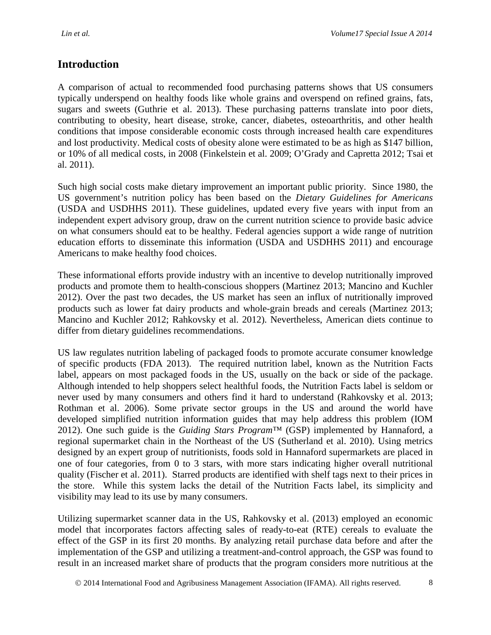### **Introduction**

A comparison of actual to recommended food purchasing patterns shows that US consumers typically underspend on healthy foods like whole grains and overspend on refined grains, fats, sugars and sweets (Guthrie et al. 2013). These purchasing patterns translate into poor diets, contributing to obesity, heart disease, stroke, cancer, diabetes, osteoarthritis, and other health conditions that impose considerable economic costs through increased health care expenditures and lost productivity. Medical costs of obesity alone were estimated to be as high as \$147 billion, or 10% of all medical costs, in 2008 (Finkelstein et al. 2009; O'Grady and Capretta 2012; Tsai et al. 2011).

Such high social costs make dietary improvement an important public priority. Since 1980, the US government's nutrition policy has been based on the *Dietary Guidelines for Americans*  (USDA and USDHHS 2011). These guidelines, updated every five years with input from an independent expert advisory group, draw on the current nutrition science to provide basic advice on what consumers should eat to be healthy. Federal agencies support a wide range of nutrition education efforts to disseminate this information (USDA and USDHHS 2011) and encourage Americans to make healthy food choices.

These informational efforts provide industry with an incentive to develop nutritionally improved products and promote them to health-conscious shoppers (Martinez 2013; Mancino and Kuchler 2012). Over the past two decades, the US market has seen an influx of nutritionally improved products such as lower fat dairy products and whole-grain breads and cereals (Martinez 2013; Mancino and Kuchler 2012; Rahkovsky et al. 2012). Nevertheless, American diets continue to differ from dietary guidelines recommendations.

US law regulates nutrition labeling of packaged foods to promote accurate consumer knowledge of specific products (FDA 2013). The required nutrition label, known as the Nutrition Facts label, appears on most packaged foods in the US, usually on the back or side of the package. Although intended to help shoppers select healthful foods, the Nutrition Facts label is seldom or never used by many consumers and others find it hard to understand (Rahkovsky et al. 2013; Rothman et al. 2006). Some private sector groups in the US and around the world have developed simplified nutrition information guides that may help address this problem (IOM 2012). One such guide is the *Guiding Stars Program™* (GSP) implemented by Hannaford, a regional supermarket chain in the Northeast of the US (Sutherland et al. 2010). Using metrics designed by an expert group of nutritionists, foods sold in Hannaford supermarkets are placed in one of four categories, from 0 to 3 stars, with more stars indicating higher overall nutritional quality (Fischer et al. 2011). Starred products are identified with shelf tags next to their prices in the store. While this system lacks the detail of the Nutrition Facts label, its simplicity and visibility may lead to its use by many consumers.

Utilizing supermarket scanner data in the US, Rahkovsky et al. (2013) employed an economic model that incorporates factors affecting sales of ready-to-eat (RTE) cereals to evaluate the effect of the GSP in its first 20 months. By analyzing retail purchase data before and after the implementation of the GSP and utilizing a treatment-and-control approach, the GSP was found to result in an increased market share of products that the program considers more nutritious at the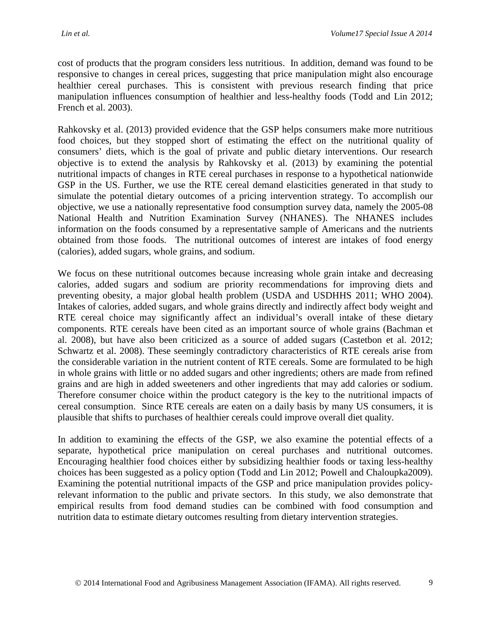cost of products that the program considers less nutritious. In addition, demand was found to be responsive to changes in cereal prices, suggesting that price manipulation might also encourage healthier cereal purchases. This is consistent with previous research finding that price manipulation influences consumption of healthier and less-healthy foods (Todd and Lin 2012; French et al. 2003).

Rahkovsky et al. (2013) provided evidence that the GSP helps consumers make more nutritious food choices, but they stopped short of estimating the effect on the nutritional quality of consumers' diets, which is the goal of private and public dietary interventions. Our research objective is to extend the analysis by Rahkovsky et al. (2013) by examining the potential nutritional impacts of changes in RTE cereal purchases in response to a hypothetical nationwide GSP in the US. Further, we use the RTE cereal demand elasticities generated in that study to simulate the potential dietary outcomes of a pricing intervention strategy. To accomplish our objective, we use a nationally representative food consumption survey data, namely the 2005-08 National Health and Nutrition Examination Survey (NHANES). The NHANES includes information on the foods consumed by a representative sample of Americans and the nutrients obtained from those foods. The nutritional outcomes of interest are intakes of food energy (calories), added sugars, whole grains, and sodium.

We focus on these nutritional outcomes because increasing whole grain intake and decreasing calories, added sugars and sodium are priority recommendations for improving diets and preventing obesity, a major global health problem (USDA and USDHHS 2011; WHO 2004). Intakes of calories, added sugars, and whole grains directly and indirectly affect body weight and RTE cereal choice may significantly affect an individual's overall intake of these dietary components. RTE cereals have been cited as an important source of whole grains (Bachman et al. 2008), but have also been criticized as a source of added sugars (Castetbon et al. 2012; Schwartz et al. 2008). These seemingly contradictory characteristics of RTE cereals arise from the considerable variation in the nutrient content of RTE cereals. Some are formulated to be high in whole grains with little or no added sugars and other ingredients; others are made from refined grains and are high in added sweeteners and other ingredients that may add calories or sodium. Therefore consumer choice within the product category is the key to the nutritional impacts of cereal consumption. Since RTE cereals are eaten on a daily basis by many US consumers, it is plausible that shifts to purchases of healthier cereals could improve overall diet quality.

In addition to examining the effects of the GSP, we also examine the potential effects of a separate, hypothetical price manipulation on cereal purchases and nutritional outcomes. Encouraging healthier food choices either by subsidizing healthier foods or taxing less-healthy choices has been suggested as a policy option (Todd and Lin 2012; Powell and Chaloupka2009). Examining the potential nutritional impacts of the GSP and price manipulation provides policyrelevant information to the public and private sectors. In this study, we also demonstrate that empirical results from food demand studies can be combined with food consumption and nutrition data to estimate dietary outcomes resulting from dietary intervention strategies.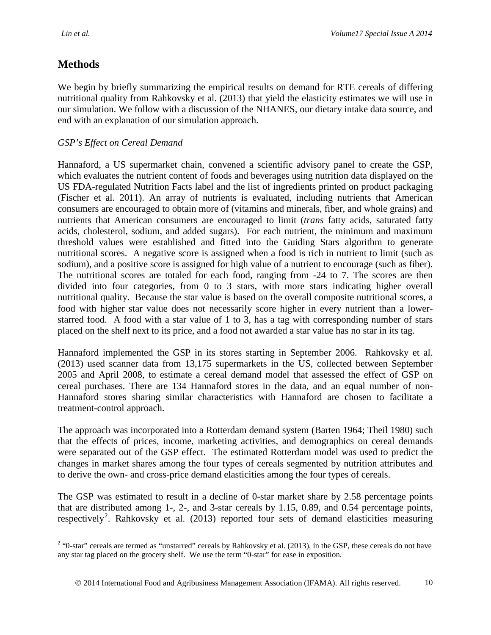# **Methods**

We begin by briefly summarizing the empirical results on demand for RTE cereals of differing nutritional quality from Rahkovsky et al. (2013) that yield the elasticity estimates we will use in our simulation. We follow with a discussion of the NHANES, our dietary intake data source, and end with an explanation of our simulation approach.

#### *GSP's Effect on Cereal Demand*

Hannaford, a US supermarket chain, convened a scientific advisory panel to create the GSP, which evaluates the nutrient content of foods and beverages using nutrition data displayed on the US FDA-regulated Nutrition Facts label and the list of ingredients printed on product packaging (Fischer et al. 2011). An array of nutrients is evaluated, including nutrients that American consumers are encouraged to obtain more of (vitamins and minerals, fiber, and whole grains) and nutrients that American consumers are encouraged to limit (*trans* fatty acids, saturated fatty acids, cholesterol, sodium, and added sugars). For each nutrient, the minimum and maximum threshold values were established and fitted into the Guiding Stars algorithm to generate nutritional scores. A negative score is assigned when a food is rich in nutrient to limit (such as sodium), and a positive score is assigned for high value of a nutrient to encourage (such as fiber). The nutritional scores are totaled for each food, ranging from -24 to 7. The scores are then divided into four categories, from 0 to 3 stars, with more stars indicating higher overall nutritional quality. Because the star value is based on the overall composite nutritional scores, a food with higher star value does not necessarily score higher in every nutrient than a lowerstarred food. A food with a star value of 1 to 3, has a tag with corresponding number of stars placed on the shelf next to its price, and a food not awarded a star value has no star in its tag.

Hannaford implemented the GSP in its stores starting in September 2006. Rahkovsky et al. (2013) used scanner data from 13,175 supermarkets in the US, collected between September 2005 and April 2008, to estimate a cereal demand model that assessed the effect of GSP on cereal purchases. There are 134 Hannaford stores in the data, and an equal number of non-Hannaford stores sharing similar characteristics with Hannaford are chosen to facilitate a treatment-control approach.

The approach was incorporated into a Rotterdam demand system (Barten 1964; Theil 1980) such that the effects of prices, income, marketing activities, and demographics on cereal demands were separated out of the GSP effect. The estimated Rotterdam model was used to predict the changes in market shares among the four types of cereals segmented by nutrition attributes and to derive the own- and cross-price demand elasticities among the four types of cereals.

The GSP was estimated to result in a decline of 0-star market share by 2.58 percentage points that are distributed among 1-, 2-, and 3-star cereals by 1.15, 0.89, and 0.54 percentage points, respectively<sup>[2](#page-3-0)</sup>. Rahkovsky et al. (2013) reported four sets of demand elasticities measuring

<span id="page-3-0"></span> $2$  "0-star" cereals are termed as "unstarred" cereals by Rahkovsky et al. (2013), in the GSP, these cereals do not have any star tag placed on the grocery shelf. We use the term "0-star" for ease in exposition.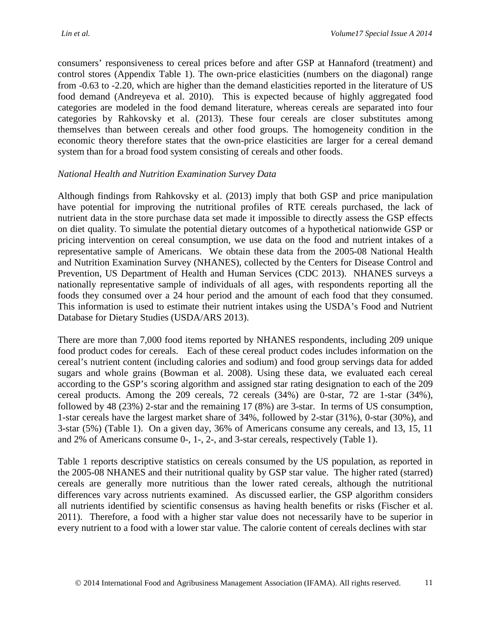consumers' responsiveness to cereal prices before and after GSP at Hannaford (treatment) and control stores (Appendix Table 1). The own-price elasticities (numbers on the diagonal) range from -0.63 to -2.20, which are higher than the demand elasticities reported in the literature of US food demand (Andreyeva et al. 2010). This is expected because of highly aggregated food categories are modeled in the food demand literature, whereas cereals are separated into four categories by Rahkovsky et al. (2013). These four cereals are closer substitutes among themselves than between cereals and other food groups. The homogeneity condition in the economic theory therefore states that the own-price elasticities are larger for a cereal demand system than for a broad food system consisting of cereals and other foods.

### *National Health and Nutrition Examination Survey Data*

Although findings from Rahkovsky et al. (2013) imply that both GSP and price manipulation have potential for improving the nutritional profiles of RTE cereals purchased, the lack of nutrient data in the store purchase data set made it impossible to directly assess the GSP effects on diet quality. To simulate the potential dietary outcomes of a hypothetical nationwide GSP or pricing intervention on cereal consumption, we use data on the food and nutrient intakes of a representative sample of Americans. We obtain these data from the 2005-08 National Health and Nutrition Examination Survey (NHANES), collected by the Centers for Disease Control and Prevention, US Department of Health and Human Services (CDC 2013). NHANES surveys a nationally representative sample of individuals of all ages, with respondents reporting all the foods they consumed over a 24 hour period and the amount of each food that they consumed. This information is used to estimate their nutrient intakes using the USDA's Food and Nutrient Database for Dietary Studies (USDA/ARS 2013).

There are more than 7,000 food items reported by NHANES respondents, including 209 unique food product codes for cereals. Each of these cereal product codes includes information on the cereal's nutrient content (including calories and sodium) and food group servings data for added sugars and whole grains (Bowman et al. 2008). Using these data, we evaluated each cereal according to the GSP's scoring algorithm and assigned star rating designation to each of the 209 cereal products. Among the 209 cereals, 72 cereals (34%) are 0-star, 72 are 1-star (34%), followed by 48 (23%) 2-star and the remaining 17 (8%) are 3-star. In terms of US consumption, 1-star cereals have the largest market share of 34%, followed by 2-star (31%), 0-star (30%), and 3-star (5%) (Table 1). On a given day, 36% of Americans consume any cereals, and 13, 15, 11 and 2% of Americans consume 0-, 1-, 2-, and 3-star cereals, respectively (Table 1).

Table 1 reports descriptive statistics on cereals consumed by the US population, as reported in the 2005-08 NHANES and their nutritional quality by GSP star value. The higher rated (starred) cereals are generally more nutritious than the lower rated cereals, although the nutritional differences vary across nutrients examined. As discussed earlier, the GSP algorithm considers all nutrients identified by scientific consensus as having health benefits or risks (Fischer et al. 2011). Therefore, a food with a higher star value does not necessarily have to be superior in every nutrient to a food with a lower star value. The calorie content of cereals declines with star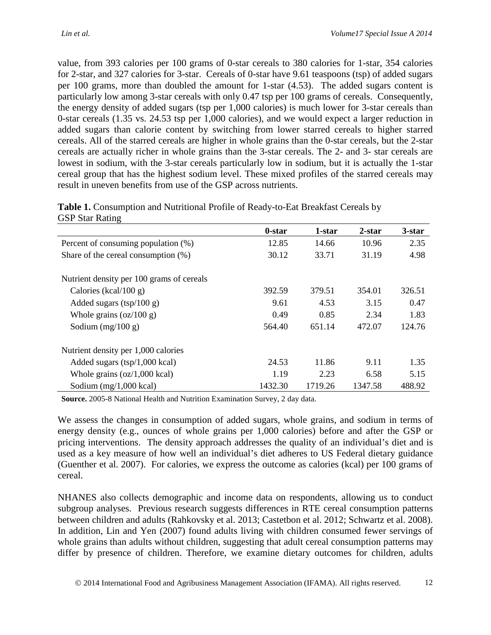value, from 393 calories per 100 grams of 0-star cereals to 380 calories for 1-star, 354 calories for 2-star, and 327 calories for 3-star. Cereals of 0-star have 9.61 teaspoons (tsp) of added sugars per 100 grams, more than doubled the amount for 1-star (4.53). The added sugars content is particularly low among 3-star cereals with only 0.47 tsp per 100 grams of cereals. Consequently, the energy density of added sugars (tsp per 1,000 calories) is much lower for 3-star cereals than 0-star cereals (1.35 vs. 24.53 tsp per 1,000 calories), and we would expect a larger reduction in added sugars than calorie content by switching from lower starred cereals to higher starred cereals. All of the starred cereals are higher in whole grains than the 0-star cereals, but the 2-star cereals are actually richer in whole grains than the 3-star cereals. The 2- and 3- star cereals are lowest in sodium, with the 3-star cereals particularly low in sodium, but it is actually the 1-star cereal group that has the highest sodium level. These mixed profiles of the starred cereals may result in uneven benefits from use of the GSP across nutrients.

| Table 1. Consumption and Nutritional Profile of Ready-to-Eat Breakfast Cereals by |  |
|-----------------------------------------------------------------------------------|--|
| <b>GSP Star Rating</b>                                                            |  |

|                                                  | 0-star  | 1-star  | $2$ -star | 3-star |
|--------------------------------------------------|---------|---------|-----------|--------|
| Percent of consuming population (%)              | 12.85   | 14.66   | 10.96     | 2.35   |
| Share of the cereal consumption $(\%)$           | 30.12   | 33.71   | 31.19     | 4.98   |
| Nutrient density per 100 grams of cereals        |         |         |           |        |
| Calories (kcal/100 g)                            | 392.59  | 379.51  | 354.01    | 326.51 |
| Added sugars $(tsp/100 g)$                       | 9.61    | 4.53    | 3.15      | 0.47   |
| Whole grains $\left( \frac{\alpha}{100} \right)$ | 0.49    | 0.85    | 2.34      | 1.83   |
| Sodium $(mg/100 g)$                              | 564.40  | 651.14  | 472.07    | 124.76 |
| Nutrient density per 1,000 calories              |         |         |           |        |
| Added sugars $(tsp/1,000 \text{ kcal})$          | 24.53   | 11.86   | 9.11      | 1.35   |
| Whole grains $(oz/1,000$ kcal)                   | 1.19    | 2.23    | 6.58      | 5.15   |
| Sodium $(mg/1,000 \text{ kcal})$                 | 1432.30 | 1719.26 | 1347.58   | 488.92 |

**Source.** 2005-8 National Health and Nutrition Examination Survey, 2 day data.

We assess the changes in consumption of added sugars, whole grains, and sodium in terms of energy density (e.g., ounces of whole grains per 1,000 calories) before and after the GSP or pricing interventions. The density approach addresses the quality of an individual's diet and is used as a key measure of how well an individual's diet adheres to US Federal dietary guidance (Guenther et al. 2007). For calories, we express the outcome as calories (kcal) per 100 grams of cereal.

NHANES also collects demographic and income data on respondents, allowing us to conduct subgroup analyses. Previous research suggests differences in RTE cereal consumption patterns between children and adults (Rahkovsky et al. 2013; Castetbon et al. 2012; Schwartz et al. 2008). In addition, Lin and Yen (2007) found adults living with children consumed fewer servings of whole grains than adults without children, suggesting that adult cereal consumption patterns may differ by presence of children. Therefore, we examine dietary outcomes for children, adults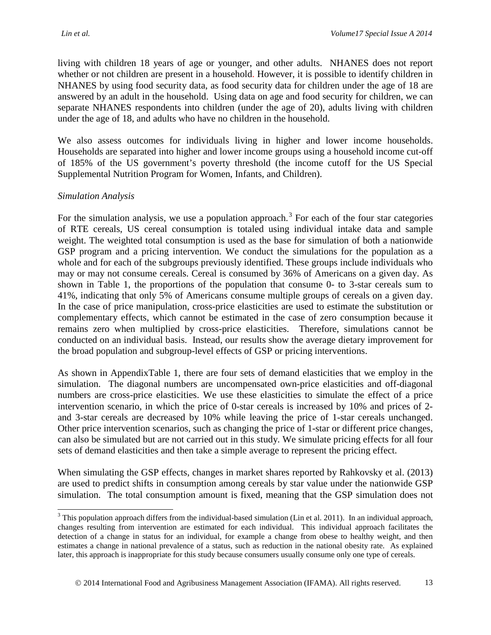living with children 18 years of age or younger, and other adults. NHANES does not report whether or not children are present in a household. However, it is possible to identify children in NHANES by using food security data, as food security data for children under the age of 18 are answered by an adult in the household. Using data on age and food security for children, we can separate NHANES respondents into children (under the age of 20), adults living with children under the age of 18, and adults who have no children in the household.

We also assess outcomes for individuals living in higher and lower income households. Households are separated into higher and lower income groups using a household income cut-off of 185% of the US government's poverty threshold (the income cutoff for the US Special Supplemental Nutrition Program for Women, Infants, and Children).

#### *Simulation Analysis*

For the simulation analysis, we use a population approach.<sup>[3](#page-6-0)</sup> For each of the four star categories of RTE cereals, US cereal consumption is totaled using individual intake data and sample weight. The weighted total consumption is used as the base for simulation of both a nationwide GSP program and a pricing intervention. We conduct the simulations for the population as a whole and for each of the subgroups previously identified. These groups include individuals who may or may not consume cereals. Cereal is consumed by 36% of Americans on a given day. As shown in Table 1, the proportions of the population that consume 0- to 3-star cereals sum to 41%, indicating that only 5% of Americans consume multiple groups of cereals on a given day. In the case of price manipulation, cross-price elasticities are used to estimate the substitution or complementary effects, which cannot be estimated in the case of zero consumption because it remains zero when multiplied by cross-price elasticities. Therefore, simulations cannot be conducted on an individual basis. Instead, our results show the average dietary improvement for the broad population and subgroup-level effects of GSP or pricing interventions.

As shown in AppendixTable 1, there are four sets of demand elasticities that we employ in the simulation. The diagonal numbers are uncompensated own-price elasticities and off-diagonal numbers are cross-price elasticities. We use these elasticities to simulate the effect of a price intervention scenario, in which the price of 0-star cereals is increased by 10% and prices of 2 and 3-star cereals are decreased by 10% while leaving the price of 1-star cereals unchanged. Other price intervention scenarios, such as changing the price of 1-star or different price changes, can also be simulated but are not carried out in this study. We simulate pricing effects for all four sets of demand elasticities and then take a simple average to represent the pricing effect.

When simulating the GSP effects, changes in market shares reported by Rahkovsky et al. (2013) are used to predict shifts in consumption among cereals by star value under the nationwide GSP simulation. The total consumption amount is fixed, meaning that the GSP simulation does not

<span id="page-6-0"></span> $3$  This population approach differs from the individual-based simulation (Lin et al. 2011). In an individual approach, changes resulting from intervention are estimated for each individual. This individual approach facilitates the detection of a change in status for an individual, for example a change from obese to healthy weight, and then estimates a change in national prevalence of a status, such as reduction in the national obesity rate. As explained later, this approach is inappropriate for this study because consumers usually consume only one type of cereals.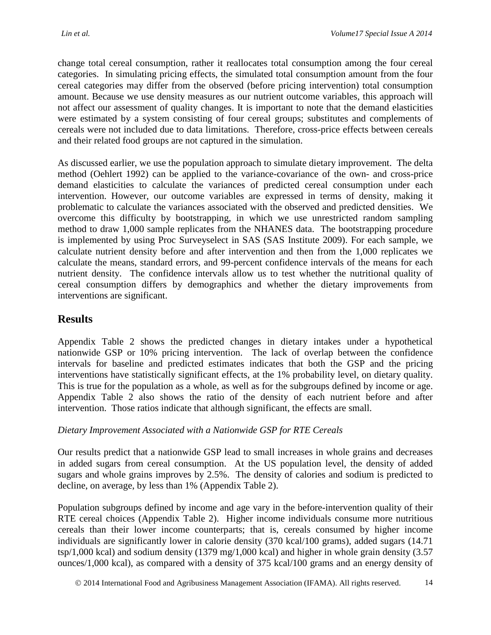change total cereal consumption, rather it reallocates total consumption among the four cereal categories. In simulating pricing effects, the simulated total consumption amount from the four cereal categories may differ from the observed (before pricing intervention) total consumption amount. Because we use density measures as our nutrient outcome variables, this approach will not affect our assessment of quality changes. It is important to note that the demand elasticities were estimated by a system consisting of four cereal groups; substitutes and complements of cereals were not included due to data limitations. Therefore, cross-price effects between cereals and their related food groups are not captured in the simulation.

As discussed earlier, we use the population approach to simulate dietary improvement. The delta method (Oehlert 1992) can be applied to the variance-covariance of the own- and cross-price demand elasticities to calculate the variances of predicted cereal consumption under each intervention. However, our outcome variables are expressed in terms of density, making it problematic to calculate the variances associated with the observed and predicted densities. We overcome this difficulty by bootstrapping, in which we use unrestricted random sampling method to draw 1,000 sample replicates from the NHANES data. The bootstrapping procedure is implemented by using Proc Surveyselect in SAS (SAS Institute 2009). For each sample, we calculate nutrient density before and after intervention and then from the 1,000 replicates we calculate the means, standard errors, and 99-percent confidence intervals of the means for each nutrient density. The confidence intervals allow us to test whether the nutritional quality of cereal consumption differs by demographics and whether the dietary improvements from interventions are significant.

### **Results**

Appendix Table 2 shows the predicted changes in dietary intakes under a hypothetical nationwide GSP or 10% pricing intervention. The lack of overlap between the confidence intervals for baseline and predicted estimates indicates that both the GSP and the pricing interventions have statistically significant effects, at the 1% probability level, on dietary quality. This is true for the population as a whole, as well as for the subgroups defined by income or age. Appendix Table 2 also shows the ratio of the density of each nutrient before and after intervention. Those ratios indicate that although significant, the effects are small.

### *Dietary Improvement Associated with a Nationwide GSP for RTE Cereals*

Our results predict that a nationwide GSP lead to small increases in whole grains and decreases in added sugars from cereal consumption. At the US population level, the density of added sugars and whole grains improves by 2.5%. The density of calories and sodium is predicted to decline, on average, by less than 1% (Appendix Table 2).

Population subgroups defined by income and age vary in the before-intervention quality of their RTE cereal choices (Appendix Table 2). Higher income individuals consume more nutritious cereals than their lower income counterparts; that is, cereals consumed by higher income individuals are significantly lower in calorie density (370 kcal/100 grams), added sugars (14.71 tsp/1,000 kcal) and sodium density (1379 mg/1,000 kcal) and higher in whole grain density (3.57 ounces/1,000 kcal), as compared with a density of 375 kcal/100 grams and an energy density of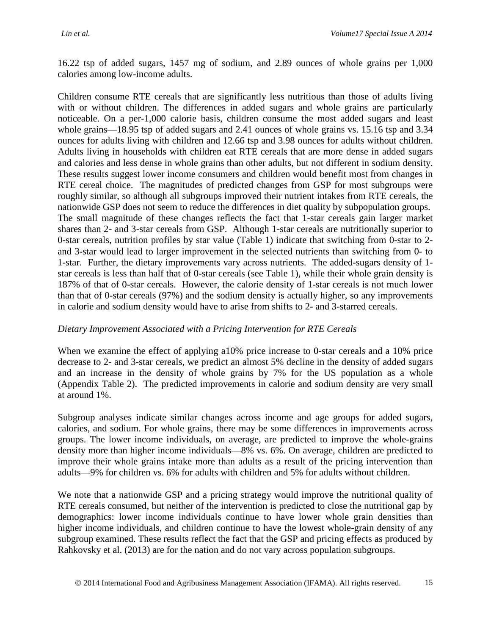16.22 tsp of added sugars, 1457 mg of sodium, and 2.89 ounces of whole grains per 1,000 calories among low-income adults.

Children consume RTE cereals that are significantly less nutritious than those of adults living with or without children. The differences in added sugars and whole grains are particularly noticeable. On a per-1,000 calorie basis, children consume the most added sugars and least whole grains—18.95 tsp of added sugars and 2.41 ounces of whole grains vs. 15.16 tsp and 3.34 ounces for adults living with children and 12.66 tsp and 3.98 ounces for adults without children. Adults living in households with children eat RTE cereals that are more dense in added sugars and calories and less dense in whole grains than other adults, but not different in sodium density. These results suggest lower income consumers and children would benefit most from changes in RTE cereal choice. The magnitudes of predicted changes from GSP for most subgroups were roughly similar, so although all subgroups improved their nutrient intakes from RTE cereals, the nationwide GSP does not seem to reduce the differences in diet quality by subpopulation groups. The small magnitude of these changes reflects the fact that 1-star cereals gain larger market shares than 2- and 3-star cereals from GSP. Although 1-star cereals are nutritionally superior to 0-star cereals, nutrition profiles by star value (Table 1) indicate that switching from 0-star to 2 and 3-star would lead to larger improvement in the selected nutrients than switching from 0- to 1-star. Further, the dietary improvements vary across nutrients. The added-sugars density of 1 star cereals is less than half that of 0-star cereals (see Table 1), while their whole grain density is 187% of that of 0-star cereals. However, the calorie density of 1-star cereals is not much lower than that of 0-star cereals (97%) and the sodium density is actually higher, so any improvements in calorie and sodium density would have to arise from shifts to 2- and 3-starred cereals.

#### *Dietary Improvement Associated with a Pricing Intervention for RTE Cereals*

When we examine the effect of applying a10% price increase to 0-star cereals and a 10% price decrease to 2- and 3-star cereals, we predict an almost 5% decline in the density of added sugars and an increase in the density of whole grains by 7% for the US population as a whole (Appendix Table 2). The predicted improvements in calorie and sodium density are very small at around 1%.

Subgroup analyses indicate similar changes across income and age groups for added sugars, calories, and sodium. For whole grains, there may be some differences in improvements across groups. The lower income individuals, on average, are predicted to improve the whole-grains density more than higher income individuals—8% vs. 6%. On average, children are predicted to improve their whole grains intake more than adults as a result of the pricing intervention than adults—9% for children vs. 6% for adults with children and 5% for adults without children.

We note that a nationwide GSP and a pricing strategy would improve the nutritional quality of RTE cereals consumed, but neither of the intervention is predicted to close the nutritional gap by demographics: lower income individuals continue to have lower whole grain densities than higher income individuals, and children continue to have the lowest whole-grain density of any subgroup examined. These results reflect the fact that the GSP and pricing effects as produced by Rahkovsky et al. (2013) are for the nation and do not vary across population subgroups.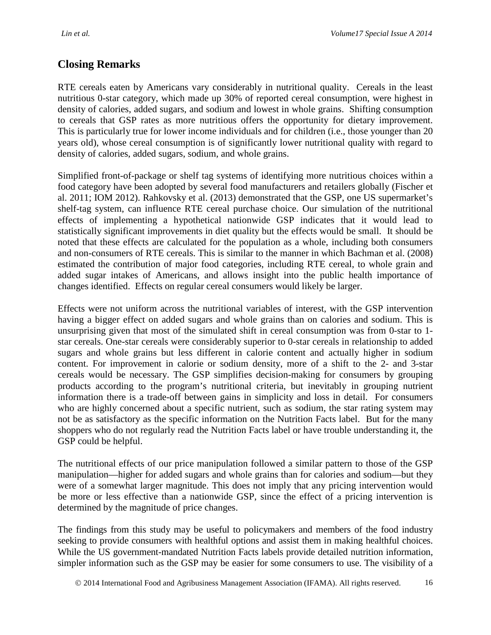# **Closing Remarks**

RTE cereals eaten by Americans vary considerably in nutritional quality. Cereals in the least nutritious 0-star category, which made up 30% of reported cereal consumption, were highest in density of calories, added sugars, and sodium and lowest in whole grains. Shifting consumption to cereals that GSP rates as more nutritious offers the opportunity for dietary improvement. This is particularly true for lower income individuals and for children (i.e., those younger than 20 years old), whose cereal consumption is of significantly lower nutritional quality with regard to density of calories, added sugars, sodium, and whole grains.

Simplified front-of-package or shelf tag systems of identifying more nutritious choices within a food category have been adopted by several food manufacturers and retailers globally (Fischer et al. 2011; IOM 2012). Rahkovsky et al. (2013) demonstrated that the GSP, one US supermarket's shelf-tag system, can influence RTE cereal purchase choice. Our simulation of the nutritional effects of implementing a hypothetical nationwide GSP indicates that it would lead to statistically significant improvements in diet quality but the effects would be small. It should be noted that these effects are calculated for the population as a whole, including both consumers and non-consumers of RTE cereals. This is similar to the manner in which Bachman et al. (2008) estimated the contribution of major food categories, including RTE cereal, to whole grain and added sugar intakes of Americans, and allows insight into the public health importance of changes identified. Effects on regular cereal consumers would likely be larger.

Effects were not uniform across the nutritional variables of interest, with the GSP intervention having a bigger effect on added sugars and whole grains than on calories and sodium. This is unsurprising given that most of the simulated shift in cereal consumption was from 0-star to 1 star cereals. One-star cereals were considerably superior to 0-star cereals in relationship to added sugars and whole grains but less different in calorie content and actually higher in sodium content. For improvement in calorie or sodium density, more of a shift to the 2- and 3-star cereals would be necessary. The GSP simplifies decision-making for consumers by grouping products according to the program's nutritional criteria, but inevitably in grouping nutrient information there is a trade-off between gains in simplicity and loss in detail. For consumers who are highly concerned about a specific nutrient, such as sodium, the star rating system may not be as satisfactory as the specific information on the Nutrition Facts label. But for the many shoppers who do not regularly read the Nutrition Facts label or have trouble understanding it, the GSP could be helpful.

The nutritional effects of our price manipulation followed a similar pattern to those of the GSP manipulation—higher for added sugars and whole grains than for calories and sodium—but they were of a somewhat larger magnitude. This does not imply that any pricing intervention would be more or less effective than a nationwide GSP, since the effect of a pricing intervention is determined by the magnitude of price changes.

The findings from this study may be useful to policymakers and members of the food industry seeking to provide consumers with healthful options and assist them in making healthful choices. While the US government-mandated Nutrition Facts labels provide detailed nutrition information, simpler information such as the GSP may be easier for some consumers to use. The visibility of a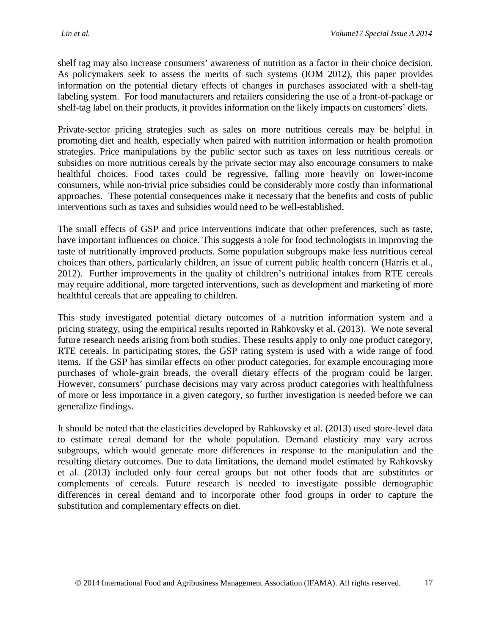shelf tag may also increase consumers' awareness of nutrition as a factor in their choice decision. As policymakers seek to assess the merits of such systems (IOM 2012), this paper provides information on the potential dietary effects of changes in purchases associated with a shelf-tag labeling system. For food manufacturers and retailers considering the use of a front-of-package or shelf-tag label on their products, it provides information on the likely impacts on customers' diets.

Private-sector pricing strategies such as sales on more nutritious cereals may be helpful in promoting diet and health, especially when paired with nutrition information or health promotion strategies. Price manipulations by the public sector such as taxes on less nutritious cereals or subsidies on more nutritious cereals by the private sector may also encourage consumers to make healthful choices. Food taxes could be regressive, falling more heavily on lower-income consumers, while non-trivial price subsidies could be considerably more costly than informational approaches. These potential consequences make it necessary that the benefits and costs of public interventions such as taxes and subsidies would need to be well-established.

The small effects of GSP and price interventions indicate that other preferences, such as taste, have important influences on choice. This suggests a role for food technologists in improving the taste of nutritionally improved products. Some population subgroups make less nutritious cereal choices than others, particularly children, an issue of current public health concern (Harris et al., 2012). Further improvements in the quality of children's nutritional intakes from RTE cereals may require additional, more targeted interventions, such as development and marketing of more healthful cereals that are appealing to children.

This study investigated potential dietary outcomes of a nutrition information system and a pricing strategy, using the empirical results reported in Rahkovsky et al. (2013). We note several future research needs arising from both studies. These results apply to only one product category, RTE cereals. In participating stores, the GSP rating system is used with a wide range of food items. If the GSP has similar effects on other product categories, for example encouraging more purchases of whole-grain breads, the overall dietary effects of the program could be larger. However, consumers' purchase decisions may vary across product categories with healthfulness of more or less importance in a given category, so further investigation is needed before we can generalize findings.

It should be noted that the elasticities developed by Rahkovsky et al. (2013) used store-level data to estimate cereal demand for the whole population. Demand elasticity may vary across subgroups, which would generate more differences in response to the manipulation and the resulting dietary outcomes. Due to data limitations, the demand model estimated by Rahkovsky et al. (2013) included only four cereal groups but not other foods that are substitutes or complements of cereals. Future research is needed to investigate possible demographic differences in cereal demand and to incorporate other food groups in order to capture the substitution and complementary effects on diet.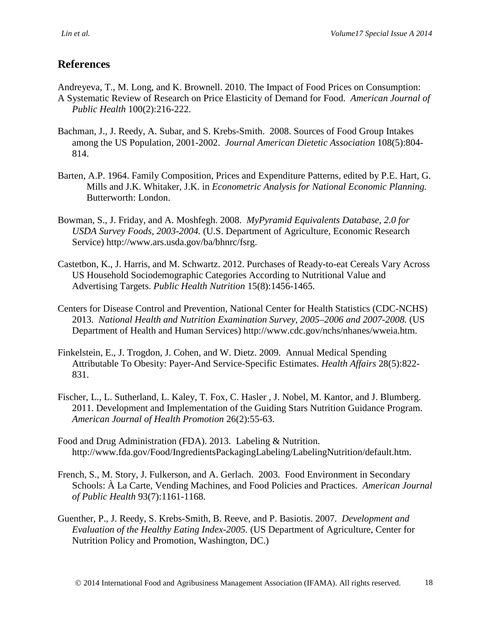### **References**

Andreyeva, T., M. Long, and K. Brownell. 2010. The Impact of Food Prices on Consumption: A Systematic Review of Research on Price Elasticity of Demand for Food. *American Journal of Public Health* 100(2):216-222.

- Bachman, J., J. Reedy, A. Subar, and S. Krebs-Smith. 2008. Sources of Food Group Intakes among the US Population, 2001-2002. *Journal American Dietetic Association* 108(5):804- 814.
- Barten, A.P. 1964. Family Composition, Prices and Expenditure Patterns, edited by P.E. Hart, G. Mills and J.K. Whitaker, J.K. in *Econometric Analysis for National Economic Planning.*  Butterworth: London.
- Bowman, S., J. Friday, and A. Moshfegh. 2008. *MyPyramid Equivalents Database, 2.0 for USDA Survey Foods, 2003-2004.* (U.S. Department of Agriculture, Economic Research Service) http://www.ars.usda.gov/ba/bhnrc/fsrg.
- Castetbon, K., J. Harris, and M. Schwartz. 2012. Purchases of Ready-to-eat Cereals Vary Across US Household Sociodemographic Categories According to Nutritional Value and Advertising Targets. *Public Health Nutrition* 15(8):1456-1465.
- Centers for Disease Control and Prevention, National Center for Health Statistics (CDC-NCHS) 2013. *National Health and Nutrition Examination Survey, 2005–2006 and 2007-2008.* (US Department of Health and Human Services) http://www.cdc.gov/nchs/nhanes/wweia.htm.
- Finkelstein, E., J. Trogdon, J. Cohen, and W. Dietz. 2009. Annual Medical Spending Attributable To Obesity: Payer-And Service-Specific Estimates. *Health Affairs* 28(5):822- 831.
- Fischer, L., L. Sutherland, L. Kaley, T. Fox, C. Hasler , J. Nobel, M. Kantor, and J. Blumberg. 2011. Development and Implementation of the Guiding Stars Nutrition Guidance Program. *American Journal of Health Promotion* 26(2):55-63.
- Food and Drug Administration (FDA). 2013. Labeling & Nutrition. http://www.fda.gov/Food/IngredientsPackagingLabeling/LabelingNutrition/default.htm.
- French, S., M. Story, J. Fulkerson, and A. Gerlach. 2003. Food Environment in Secondary Schools: À La Carte, Vending Machines, and Food Policies and Practices. *American Journal of Public Health* 93(7):1161-1168.
- Guenther, P., J. Reedy, S. Krebs-Smith, B. Reeve, and P. Basiotis. 2007. *Development and Evaluation of the Healthy Eating Index-2005.* (US Department of Agriculture, Center for Nutrition Policy and Promotion, Washington, DC.)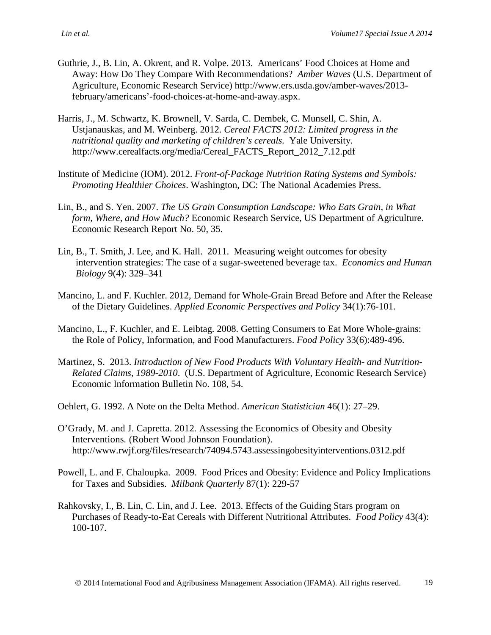- Guthrie, J., B. Lin, A. Okrent, and R. Volpe. 2013. Americans' Food Choices at Home and Away: How Do They Compare With Recommendations? *Amber Waves* (U.S. Department of Agriculture, Economic Research Service) http://www.ers.usda.gov/amber-waves/2013 february/americans'-food-choices-at-home-and-away.aspx.
- Harris, J., M. Schwartz, K. Brownell, V. Sarda, C. Dembek, C. Munsell, C. Shin, A. Ustjanauskas, and M. Weinberg. 2012. *Cereal FACTS 2012: Limited progress in the nutritional quality and marketing of children's cereals.* Yale University. http://www.cerealfacts.org/media/Cereal\_FACTS\_Report\_2012\_7.12.pdf
- Institute of Medicine (IOM). 2012. *Front-of-Package Nutrition Rating Systems and Symbols: Promoting Healthier Choices*. Washington, DC: The National Academies Press.
- Lin, B., and S. Yen. 2007. *The US Grain Consumption Landscape: Who Eats Grain, in What form, Where, and How Much?* Economic Research Service, US Department of Agriculture. Economic Research Report No. 50, 35.
- Lin, B., T. Smith, J. Lee, and K. Hall. 2011. Measuring weight outcomes for obesity intervention strategies: The case of a sugar-sweetened beverage tax. *Economics and Human Biology* 9(4): 329–341
- Mancino, L. and F. Kuchler. 2012, Demand for Whole-Grain Bread Before and After the Release of the Dietary Guidelines. *Applied Economic Perspectives and Policy* 34(1):76-101.
- Mancino, L., F. Kuchler, and E. Leibtag. 2008. Getting Consumers to Eat More Whole-grains: the Role of Policy, Information, and Food Manufacturers. *Food Policy* 33(6):489-496.
- Martinez, S. 2013. *Introduction of New Food Products With Voluntary Health- and Nutrition-Related Claims, 1989-2010*. (U.S. Department of Agriculture, Economic Research Service) Economic Information Bulletin No. 108, 54.
- Oehlert, G. 1992. A Note on the Delta Method. *American Statistician* 46(1): 27–29.
- O'Grady, M. and J. Capretta. 2012*.* Assessing the Economics of Obesity and Obesity Interventions*.* (Robert Wood Johnson Foundation). http://www.rwjf.org/files/research/74094.5743.assessingobesityinterventions.0312.pdf
- Powell, L. and F. Chaloupka. 2009. Food Prices and Obesity: Evidence and Policy Implications for Taxes and Subsidies. *Milbank Quarterly* 87(1): 229-57
- Rahkovsky, I., B. Lin, C. Lin, and J. Lee. 2013. Effects of the Guiding Stars program on Purchases of Ready-to-Eat Cereals with Different Nutritional Attributes. *Food Policy* 43(4): 100-107.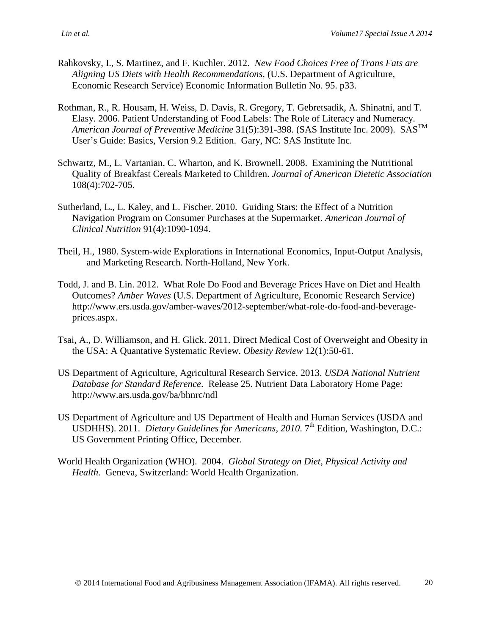- Rahkovsky, I., S. Martinez, and F. Kuchler. 2012. *New Food Choices Free of Trans Fats are Aligning US Diets with Health Recommendations,* (U.S. Department of Agriculture, Economic Research Service) Economic Information Bulletin No. 95. p33.
- Rothman, R., R. Housam, H. Weiss, D. Davis, R. Gregory, T. Gebretsadik, A. Shinatni, and T. Elasy. 2006. Patient Understanding of Food Labels: The Role of Literacy and Numeracy. *American Journal of Preventive Medicine* 31(5):391-398. (SAS Institute Inc. 2009). SASTM User's Guide: Basics, Version 9.2 Edition. Gary, NC: SAS Institute Inc.
- Schwartz, M., L. Vartanian, C. Wharton, and K. Brownell. 2008. Examining the Nutritional Quality of Breakfast Cereals Marketed to Children. *Journal of American Dietetic Association*  108(4):702-705.
- Sutherland, L., L. Kaley, and L. Fischer. 2010. Guiding Stars: the Effect of a Nutrition Navigation Program on Consumer Purchases at the Supermarket. *American Journal of Clinical Nutrition* 91(4):1090-1094.
- Theil, H., 1980. System-wide Explorations in International Economics, Input-Output Analysis, and Marketing Research. North-Holland, New York.
- Todd, J. and B. Lin. 2012. What Role Do Food and Beverage Prices Have on Diet and Health Outcomes? *Amber Waves* (U.S. Department of Agriculture, Economic Research Service) http://www.ers.usda.gov/amber-waves/2012-september/what-role-do-food-and-beverageprices.aspx.
- Tsai, A., D. Williamson, and H. Glick. 2011. Direct Medical Cost of Overweight and Obesity in the USA: A Quantative Systematic Review. *Obesity Review* 12(1):50-61.
- US Department of Agriculture, Agricultural Research Service. 2013. *USDA National Nutrient Database for Standard Reference*. Release 25. Nutrient Data Laboratory Home Page: http://www.ars.usda.gov/ba/bhnrc/ndl
- US Department of Agriculture and US Department of Health and Human Services (USDA and USDHHS). 2011. *Dietary Guidelines for Americans, 2010.* 7<sup>th</sup> Edition, Washington, D.C.: US Government Printing Office, December.
- World Health Organization (WHO). 2004. *Global Strategy on Diet, Physical Activity and Health.* Geneva, Switzerland: World Health Organization.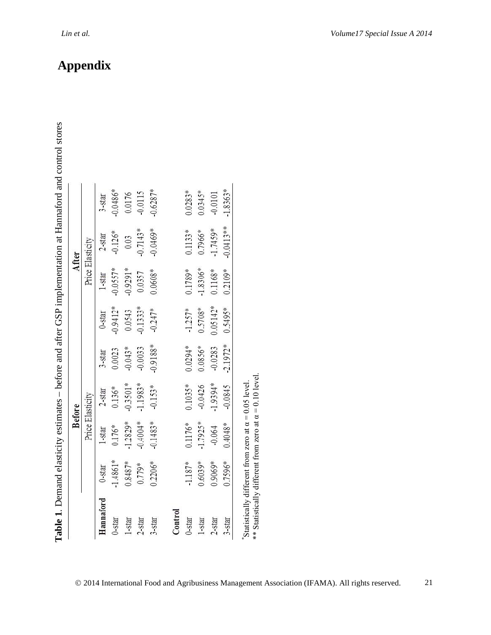|            |           |            | <b>Before</b>    |            |            |            | After            |                   |
|------------|-----------|------------|------------------|------------|------------|------------|------------------|-------------------|
|            |           |            | Price Elasticity |            |            |            | Price Elasticity |                   |
| Hannaford  | )-star    | $1 -$ star | $2 - star$       | $3 -$ star | 0-star     | 1-star     | $2 -$ star       | $3 - \frac{1}{2}$ |
| 0-star     | .4861*    | $0.176*$   | $0.136*$         | 0.0023     | $-0.9412*$ | $-0.0557*$ | $-0.126*$        | $0.0486*$         |
| 1-star     | $0.8487*$ | $-1.2829*$ | $-0.3501*$       | $-0.043*$  | 0.0543     | $-0.9291*$ | 0.03             | 0.0176            |
| $2 -$ star | $.779*$   | $-0.4004*$ | $-1.1983*$       | $-0.0033$  | $-0.1333*$ | 0.0357     | $-0.7143*$       | $-0.0115$         |
| 3-star     | $0.2206*$ | $-0.1483*$ | $-0.153*$        | $-0.9188*$ | $-0.247*$  | $0.0608*$  | $-0.0469*$       | $-0.6287*$        |
|            |           |            |                  |            |            |            |                  |                   |
| Control    |           |            |                  |            |            |            |                  |                   |
| $0$ -star  | $1.187*$  | $0.1176*$  | $0.1035*$        | $0.0294*$  | $-1.257*$  | $0.1789*$  | $0.1133*$        | $0.0283*$         |
| $1$ -star  | $0.6039*$ | $-1.7925*$ | $-0.0426$        | $0.0856*$  | $0.5708*$  | $-1.8306*$ | $0.7966$ *       | $0.0345*$         |
| 2-star     | $0.9069*$ | $-0.064$   | $-1.9394*$       | $-0.0283$  | $0.05142*$ | $0.1168*$  | $-1.7459*$       | $-0.0101$         |
| 3-star     | .7596*    | $0.4048*$  | 0.0845           | $-2.1972*$ | $0.5495*$  | $0.2109*$  | $0.0413**$       | $-1.8363*$        |

\*\* Statistically different from zero at  $\alpha = 0.10$  level. \*\* Statistically different from zero at α = 0.10 level.

**Appendix**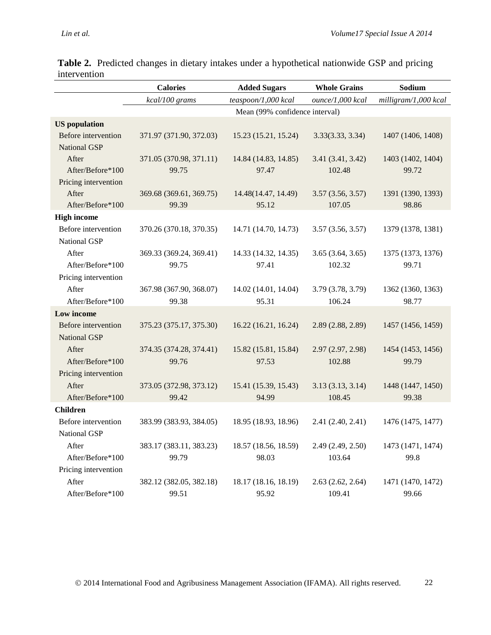|                                            | <b>Calories</b>                  | <b>Added Sugars</b>            | <b>Whole Grains</b>         | Sodium                     |
|--------------------------------------------|----------------------------------|--------------------------------|-----------------------------|----------------------------|
|                                            | kcal/100 grams                   | teaspoon/1,000 kcal            | ounce/1,000 kcal            | milligram/1,000 kcal       |
|                                            |                                  | Mean (99% confidence interval) |                             |                            |
| <b>US</b> population                       |                                  |                                |                             |                            |
| Before intervention<br><b>National GSP</b> | 371.97 (371.90, 372.03)          | 15.23 (15.21, 15.24)           | 3.33(3.33, 3.34)            | 1407 (1406, 1408)          |
| After<br>After/Before*100                  | 371.05 (370.98, 371.11)<br>99.75 | 14.84 (14.83, 14.85)<br>97.47  | 3.41 (3.41, 3.42)<br>102.48 | 1403 (1402, 1404)<br>99.72 |
| Pricing intervention                       |                                  |                                |                             |                            |
| After<br>After/Before*100                  | 369.68 (369.61, 369.75)<br>99.39 | 14.48(14.47, 14.49)<br>95.12   | 3.57(3.56, 3.57)<br>107.05  | 1391 (1390, 1393)<br>98.86 |
| <b>High income</b>                         |                                  |                                |                             |                            |
| Before intervention<br><b>National GSP</b> | 370.26 (370.18, 370.35)          | 14.71 (14.70, 14.73)           | 3.57(3.56, 3.57)            | 1379 (1378, 1381)          |
| After<br>After/Before*100                  | 369.33 (369.24, 369.41)<br>99.75 | 14.33 (14.32, 14.35)<br>97.41  | 3.65(3.64, 3.65)<br>102.32  | 1375 (1373, 1376)<br>99.71 |
| Pricing intervention                       |                                  |                                |                             |                            |
| After                                      | 367.98 (367.90, 368.07)          | 14.02 (14.01, 14.04)           | 3.79 (3.78, 3.79)           | 1362 (1360, 1363)          |
| After/Before*100                           | 99.38                            | 95.31                          | 106.24                      | 98.77                      |
| Low income                                 |                                  |                                |                             |                            |
| Before intervention<br><b>National GSP</b> | 375.23 (375.17, 375.30)          | 16.22 (16.21, 16.24)           | 2.89 (2.88, 2.89)           | 1457 (1456, 1459)          |
| After<br>After/Before*100                  | 374.35 (374.28, 374.41)<br>99.76 | 15.82 (15.81, 15.84)<br>97.53  | 2.97(2.97, 2.98)<br>102.88  | 1454 (1453, 1456)<br>99.79 |
| Pricing intervention                       |                                  |                                |                             |                            |
| After<br>After/Before*100                  | 373.05 (372.98, 373.12)<br>99.42 | 15.41 (15.39, 15.43)<br>94.99  | 3.13(3.13, 3.14)<br>108.45  | 1448 (1447, 1450)<br>99.38 |
| <b>Children</b>                            |                                  |                                |                             |                            |
| Before intervention<br>National GSP        | 383.99 (383.93, 384.05)          | 18.95 (18.93, 18.96)           | 2.41 (2.40, 2.41)           | 1476 (1475, 1477)          |
| After                                      | 383.17 (383.11, 383.23)          | 18.57 (18.56, 18.59)           | 2.49 (2.49, 2.50)           | 1473 (1471, 1474)          |
| After/Before*100                           | 99.79                            | 98.03                          | 103.64                      | 99.8                       |
| Pricing intervention                       |                                  |                                |                             |                            |
| After                                      | 382.12 (382.05, 382.18)          | 18.17 (18.16, 18.19)           | 2.63(2.62, 2.64)            | 1471 (1470, 1472)          |
| After/Before*100                           | 99.51                            | 95.92                          | 109.41                      | 99.66                      |

**Table 2.** Predicted changes in dietary intakes under a hypothetical nationwide GSP and pricing intervention